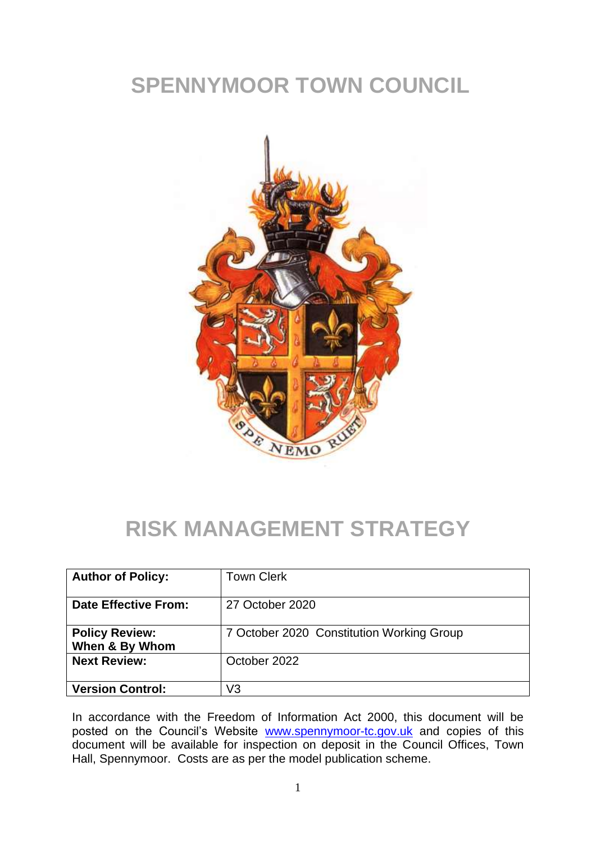# **SPENNYMOOR TOWN COUNCIL**



### **RISK MANAGEMENT STRATEGY**

| <b>Author of Policy:</b>                | <b>Town Clerk</b>                         |
|-----------------------------------------|-------------------------------------------|
| <b>Date Effective From:</b>             | 27 October 2020                           |
| <b>Policy Review:</b><br>When & By Whom | 7 October 2020 Constitution Working Group |
| <b>Next Review:</b>                     | October 2022                              |
| <b>Version Control:</b>                 | V3                                        |

In accordance with the Freedom of Information Act 2000, this document will be posted on the Council's Website [www.spennymoor-tc.gov.uk](http://www.spennymoor-tc.gov.uk/) and copies of this document will be available for inspection on deposit in the Council Offices, Town Hall, Spennymoor. Costs are as per the model publication scheme.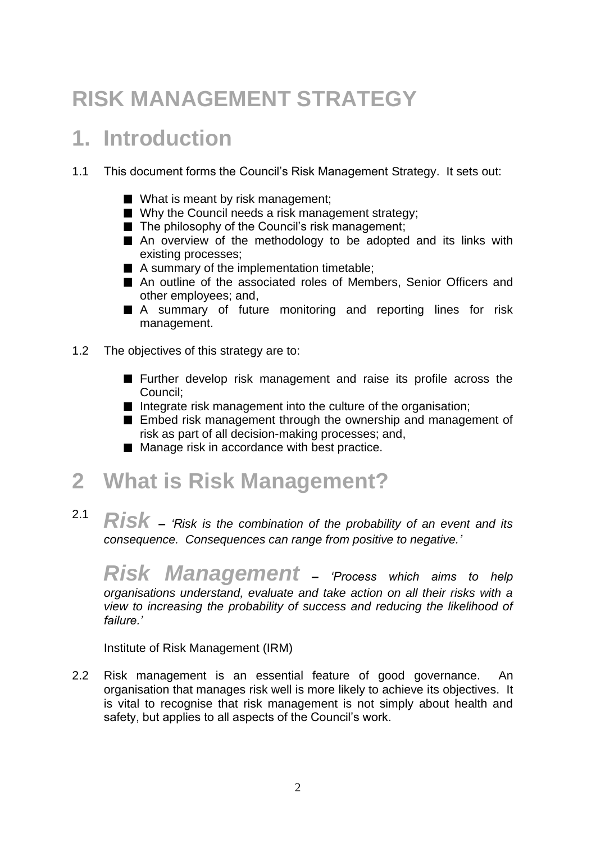# **RISK MANAGEMENT STRATEGY**

### **1. Introduction**

- 1.1 This document forms the Council's Risk Management Strategy. It sets out:
	- What is meant by risk management;
	- Why the Council needs a risk management strategy;
	- $\blacksquare$  The philosophy of the Council's risk management:
	- An overview of the methodology to be adopted and its links with existing processes;
	- A summary of the implementation timetable;
	- An outline of the associated roles of Members, Senior Officers and other employees; and,
	- A summary of future monitoring and reporting lines for risk management.
- 1.2 The objectives of this strategy are to:
	- **Further develop risk management and raise its profile across the** Council;
	- Integrate risk management into the culture of the organisation;
	- **Embed risk management through the ownership and management of** risk as part of all decision-making processes; and,
	- Manage risk in accordance with best practice.

#### **2 What is Risk Management?**

2.1 *Risk – 'Risk is the combination of the probability of an event and its consequence. Consequences can range from positive to negative.'*

*Risk Management – 'Process which aims to help organisations understand, evaluate and take action on all their risks with a view to increasing the probability of success and reducing the likelihood of failure.'*

Institute of Risk Management (IRM)

2.2 Risk management is an essential feature of good governance. An organisation that manages risk well is more likely to achieve its objectives. It is vital to recognise that risk management is not simply about health and safety, but applies to all aspects of the Council's work.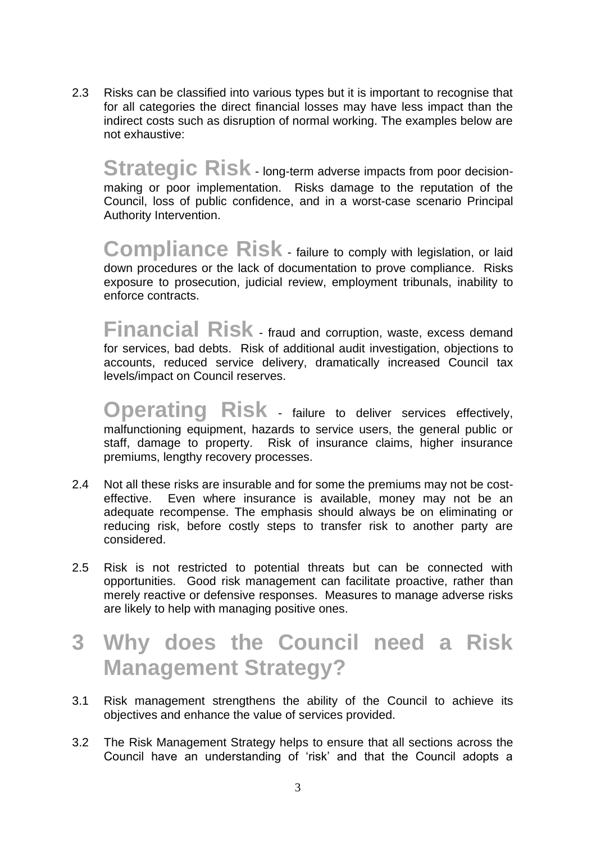2.3 Risks can be classified into various types but it is important to recognise that for all categories the direct financial losses may have less impact than the indirect costs such as disruption of normal working. The examples below are not exhaustive:

**Strategic Risk** - long-term adverse impacts from poor decisionmaking or poor implementation. Risks damage to the reputation of the Council, loss of public confidence, and in a worst-case scenario Principal Authority Intervention.

**Compliance Risk** - failure to comply with legislation, or laid down procedures or the lack of documentation to prove compliance. Risks exposure to prosecution, judicial review, employment tribunals, inability to enforce contracts.

**Financial Risk** - fraud and corruption, waste, excess demand for services, bad debts. Risk of additional audit investigation, objections to accounts, reduced service delivery, dramatically increased Council tax levels/impact on Council reserves.

**Operating Risk** - failure to deliver services effectively, malfunctioning equipment, hazards to service users, the general public or staff, damage to property. Risk of insurance claims, higher insurance premiums, lengthy recovery processes.

- 2.4 Not all these risks are insurable and for some the premiums may not be costeffective. Even where insurance is available, money may not be an adequate recompense. The emphasis should always be on eliminating or reducing risk, before costly steps to transfer risk to another party are considered.
- 2.5 Risk is not restricted to potential threats but can be connected with opportunities. Good risk management can facilitate proactive, rather than merely reactive or defensive responses. Measures to manage adverse risks are likely to help with managing positive ones.

### **3 Why does the Council need a Risk Management Strategy?**

- 3.1 Risk management strengthens the ability of the Council to achieve its objectives and enhance the value of services provided.
- 3.2 The Risk Management Strategy helps to ensure that all sections across the Council have an understanding of 'risk' and that the Council adopts a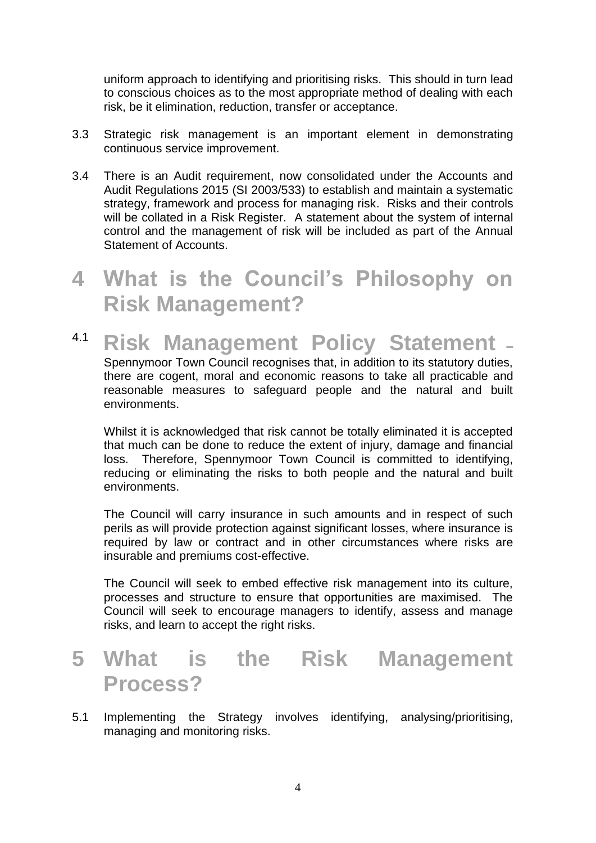uniform approach to identifying and prioritising risks. This should in turn lead to conscious choices as to the most appropriate method of dealing with each risk, be it elimination, reduction, transfer or acceptance.

- 3.3 Strategic risk management is an important element in demonstrating continuous service improvement.
- 3.4 There is an Audit requirement, now consolidated under the Accounts and Audit Regulations 2015 (SI 2003/533) to establish and maintain a systematic strategy, framework and process for managing risk. Risks and their controls will be collated in a Risk Register. A statement about the system of internal control and the management of risk will be included as part of the Annual Statement of Accounts.

### **4 What is the Council's Philosophy on Risk Management?**

4.1 **Risk Management Policy Statement** – Spennymoor Town Council recognises that, in addition to its statutory duties, there are cogent, moral and economic reasons to take all practicable and reasonable measures to safeguard people and the natural and built environments.

Whilst it is acknowledged that risk cannot be totally eliminated it is accepted that much can be done to reduce the extent of injury, damage and financial loss. Therefore, Spennymoor Town Council is committed to identifying, reducing or eliminating the risks to both people and the natural and built environments.

The Council will carry insurance in such amounts and in respect of such perils as will provide protection against significant losses, where insurance is required by law or contract and in other circumstances where risks are insurable and premiums cost-effective.

The Council will seek to embed effective risk management into its culture, processes and structure to ensure that opportunities are maximised. The Council will seek to encourage managers to identify, assess and manage risks, and learn to accept the right risks.

### **5 What is the Risk Management Process?**

5.1 Implementing the Strategy involves identifying, analysing/prioritising, managing and monitoring risks.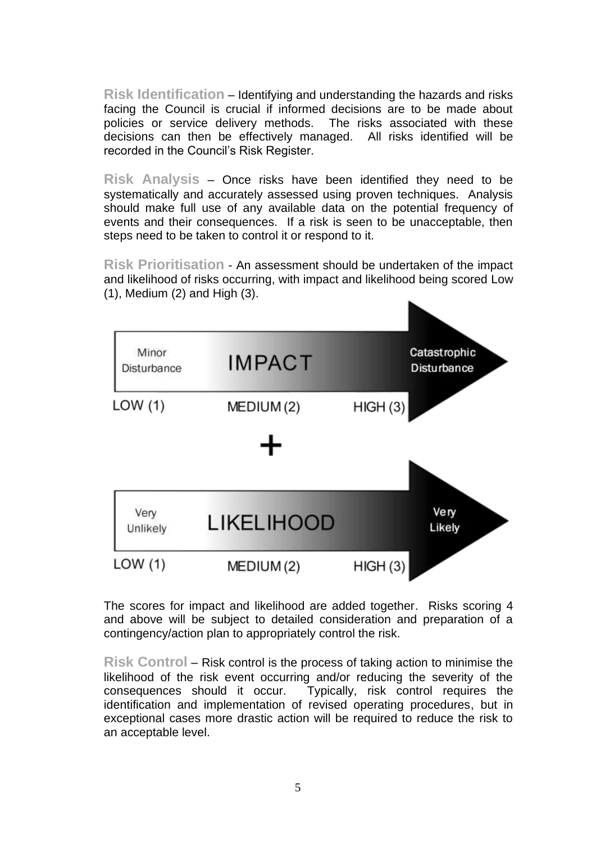**Risk Identification** – Identifying and understanding the hazards and risks facing the Council is crucial if informed decisions are to be made about policies or service delivery methods. The risks associated with these decisions can then be effectively managed. All risks identified will be recorded in the Council's Risk Register.

**Risk Analysis** – Once risks have been identified they need to be systematically and accurately assessed using proven techniques. Analysis should make full use of any available data on the potential frequency of events and their consequences. If a risk is seen to be unacceptable, then steps need to be taken to control it or respond to it.

**Risk Prioritisation** - An assessment should be undertaken of the impact and likelihood of risks occurring, with impact and likelihood being scored Low (1), Medium (2) and High (3).



The scores for impact and likelihood are added together. Risks scoring 4 and above will be subject to detailed consideration and preparation of a contingency/action plan to appropriately control the risk.

**Risk Control** – Risk control is the process of taking action to minimise the likelihood of the risk event occurring and/or reducing the severity of the consequences should it occur. Typically, risk control requires the identification and implementation of revised operating procedures, but in exceptional cases more drastic action will be required to reduce the risk to an acceptable level.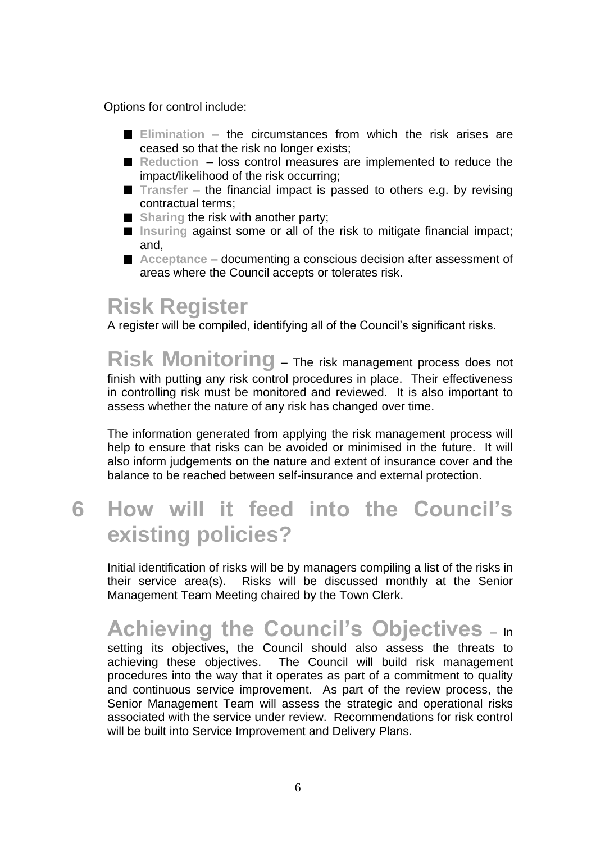Options for control include:

- **Elimination** the circumstances from which the risk arises are ceased so that the risk no longer exists;
- Reduction loss control measures are implemented to reduce the impact/likelihood of the risk occurring;
- Transfer the financial impact is passed to others e.g. by revising contractual terms;
- **Sharing the risk with another party;**
- **Insuring** against some or all of the risk to mitigate financial impact; and,
- Acceptance documenting a conscious decision after assessment of areas where the Council accepts or tolerates risk.

#### **Risk Register**

A register will be compiled, identifying all of the Council's significant risks.

**Risk Monitoring** – The risk management process does not finish with putting any risk control procedures in place. Their effectiveness in controlling risk must be monitored and reviewed. It is also important to assess whether the nature of any risk has changed over time.

The information generated from applying the risk management process will help to ensure that risks can be avoided or minimised in the future. It will also inform judgements on the nature and extent of insurance cover and the balance to be reached between self-insurance and external protection.

### **6 How will it feed into the Council's existing policies?**

Initial identification of risks will be by managers compiling a list of the risks in their service area(s). Risks will be discussed monthly at the Senior Management Team Meeting chaired by the Town Clerk.

### **Achieving the Council's Objectives** – In

setting its objectives, the Council should also assess the threats to achieving these objectives. The Council will build risk management procedures into the way that it operates as part of a commitment to quality and continuous service improvement. As part of the review process, the Senior Management Team will assess the strategic and operational risks associated with the service under review. Recommendations for risk control will be built into Service Improvement and Delivery Plans.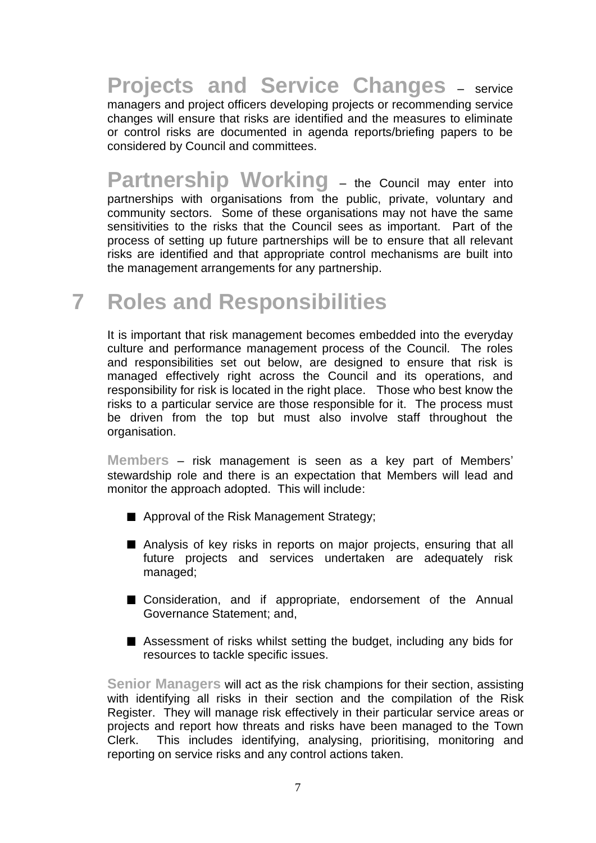**Projects and Service Changes** – service managers and project officers developing projects or recommending service changes will ensure that risks are identified and the measures to eliminate or control risks are documented in agenda reports/briefing papers to be considered by Council and committees.

**Partnership Working** – the Council may enter into partnerships with organisations from the public, private, voluntary and community sectors. Some of these organisations may not have the same sensitivities to the risks that the Council sees as important. Part of the process of setting up future partnerships will be to ensure that all relevant risks are identified and that appropriate control mechanisms are built into the management arrangements for any partnership.

## **7 Roles and Responsibilities**

It is important that risk management becomes embedded into the everyday culture and performance management process of the Council. The roles and responsibilities set out below, are designed to ensure that risk is managed effectively right across the Council and its operations, and responsibility for risk is located in the right place. Those who best know the risks to a particular service are those responsible for it. The process must be driven from the top but must also involve staff throughout the organisation.

**Members** – risk management is seen as a key part of Members' stewardship role and there is an expectation that Members will lead and monitor the approach adopted. This will include:

- Approval of the Risk Management Strategy;
- Analysis of key risks in reports on major projects, ensuring that all future projects and services undertaken are adequately risk managed;
- Consideration, and if appropriate, endorsement of the Annual Governance Statement; and,
- Assessment of risks whilst setting the budget, including any bids for resources to tackle specific issues.

**Senior Managers** will act as the risk champions for their section, assisting with identifying all risks in their section and the compilation of the Risk Register. They will manage risk effectively in their particular service areas or projects and report how threats and risks have been managed to the Town Clerk. This includes identifying, analysing, prioritising, monitoring and reporting on service risks and any control actions taken.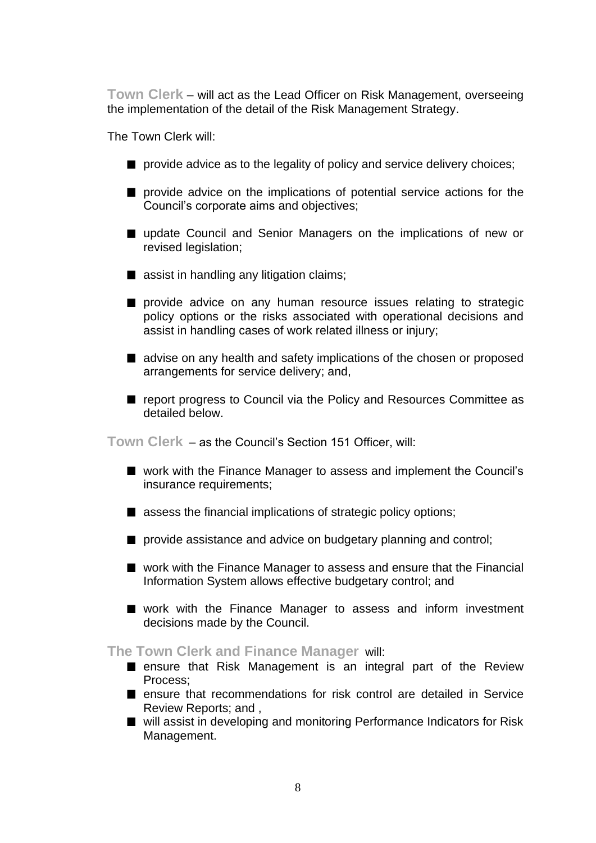**Town Clerk** – will act as the Lead Officer on Risk Management, overseeing the implementation of the detail of the Risk Management Strategy.

The Town Clerk will:

- **provide advice as to the legality of policy and service delivery choices;**
- $\blacksquare$  provide advice on the implications of potential service actions for the Council's corporate aims and objectives;
- update Council and Senior Managers on the implications of new or revised legislation;
- assist in handling any litigation claims;
- **P** provide advice on any human resource issues relating to strategic policy options or the risks associated with operational decisions and assist in handling cases of work related illness or injury;
- advise on any health and safety implications of the chosen or proposed arrangements for service delivery; and,
- report progress to Council via the Policy and Resources Committee as detailed below.

**Town Clerk** – as the Council's Section 151 Officer, will:

- work with the Finance Manager to assess and implement the Council's insurance requirements;
- assess the financial implications of strategic policy options;
- **provide assistance and advice on budgetary planning and control;**
- work with the Finance Manager to assess and ensure that the Financial Information System allows effective budgetary control; and
- work with the Finance Manager to assess and inform investment decisions made by the Council.

**The Town Clerk and Finance Manager** will:

- **E** ensure that Risk Management is an integral part of the Review Process;
- ensure that recommendations for risk control are detailed in Service Review Reports; and ,
- will assist in developing and monitoring Performance Indicators for Risk Management.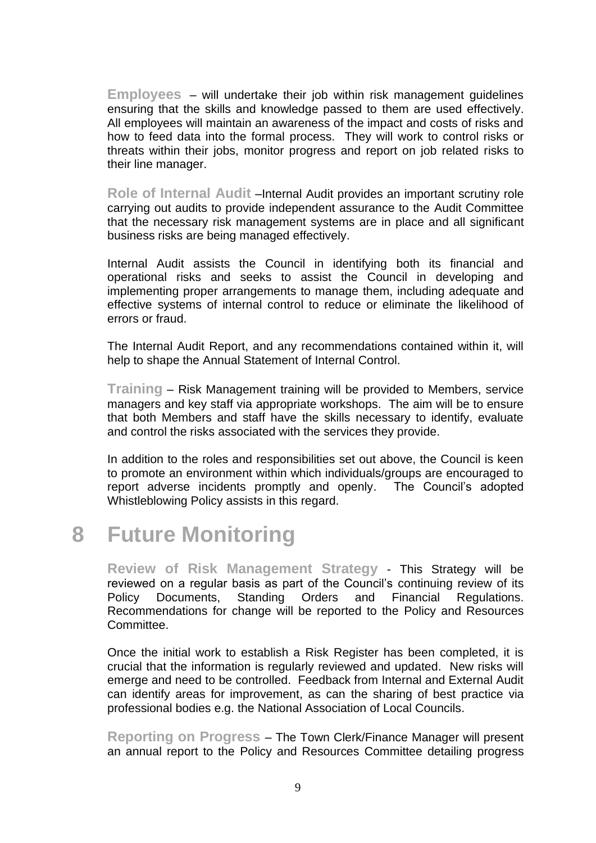**Employees** – will undertake their job within risk management guidelines ensuring that the skills and knowledge passed to them are used effectively. All employees will maintain an awareness of the impact and costs of risks and how to feed data into the formal process. They will work to control risks or threats within their jobs, monitor progress and report on job related risks to their line manager.

**Role of Internal Audit** –Internal Audit provides an important scrutiny role carrying out audits to provide independent assurance to the Audit Committee that the necessary risk management systems are in place and all significant business risks are being managed effectively.

Internal Audit assists the Council in identifying both its financial and operational risks and seeks to assist the Council in developing and implementing proper arrangements to manage them, including adequate and effective systems of internal control to reduce or eliminate the likelihood of errors or fraud.

The Internal Audit Report, and any recommendations contained within it, will help to shape the Annual Statement of Internal Control.

**Training** – Risk Management training will be provided to Members, service managers and key staff via appropriate workshops. The aim will be to ensure that both Members and staff have the skills necessary to identify, evaluate and control the risks associated with the services they provide.

In addition to the roles and responsibilities set out above, the Council is keen to promote an environment within which individuals/groups are encouraged to report adverse incidents promptly and openly. The Council's adopted Whistleblowing Policy assists in this regard.

### **8 Future Monitoring**

**Review of Risk Management Strategy** - This Strategy will be reviewed on a regular basis as part of the Council's continuing review of its Policy Documents, Standing Orders and Financial Regulations. Recommendations for change will be reported to the Policy and Resources Committee.

Once the initial work to establish a Risk Register has been completed, it is crucial that the information is regularly reviewed and updated. New risks will emerge and need to be controlled. Feedback from Internal and External Audit can identify areas for improvement, as can the sharing of best practice via professional bodies e.g. the National Association of Local Councils.

**Reporting on Progress** – The Town Clerk/Finance Manager will present an annual report to the Policy and Resources Committee detailing progress